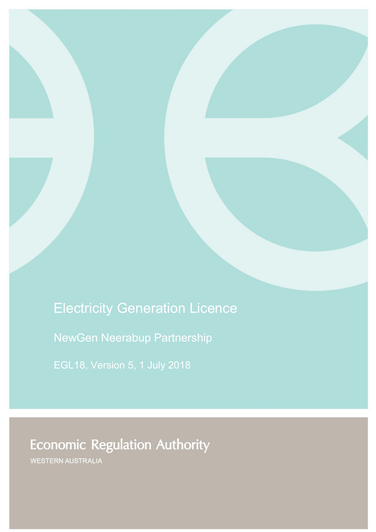# Electricity Generation Licence

NewGen Neerabup Partnership

# **Economic Regulation Authority**

WESTERN AUSTRALIA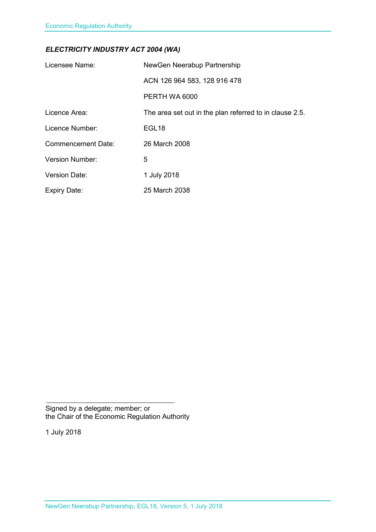### *ELECTRICITY INDUSTRY ACT 2004 (WA)*

| Licensee Name:            | NewGen Neerabup Partnership                             |
|---------------------------|---------------------------------------------------------|
|                           | ACN 126 964 583, 128 916 478                            |
|                           | PERTH WA 6000                                           |
| Licence Area:             | The area set out in the plan referred to in clause 2.5. |
| Licence Number:           | EGL <sub>18</sub>                                       |
| <b>Commencement Date:</b> | 26 March 2008                                           |
| <b>Version Number:</b>    | 5                                                       |
| <b>Version Date:</b>      | 1 July 2018                                             |
| <b>Expiry Date:</b>       | 25 March 2038                                           |

Signed by a delegate; member; or the Chair of the Economic Regulation Authority

1 July 2018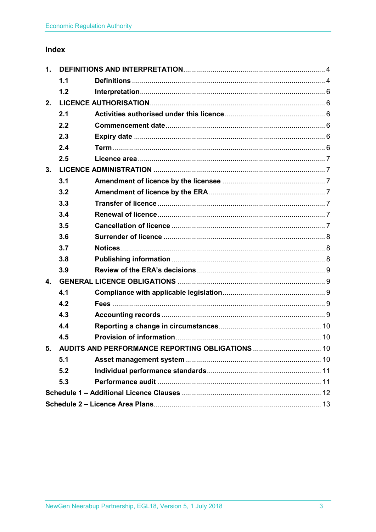### Index

| 1.                                                 |     |  |  |
|----------------------------------------------------|-----|--|--|
|                                                    | 1.1 |  |  |
|                                                    | 1.2 |  |  |
| 2.                                                 |     |  |  |
|                                                    | 2.1 |  |  |
|                                                    | 2.2 |  |  |
|                                                    | 2.3 |  |  |
|                                                    | 2.4 |  |  |
|                                                    | 2.5 |  |  |
| 3.                                                 |     |  |  |
|                                                    | 3.1 |  |  |
|                                                    | 3.2 |  |  |
|                                                    | 3.3 |  |  |
|                                                    | 3.4 |  |  |
|                                                    | 3.5 |  |  |
|                                                    | 3.6 |  |  |
|                                                    | 3.7 |  |  |
|                                                    | 3.8 |  |  |
|                                                    | 3.9 |  |  |
| $\mathbf{4}$ .                                     |     |  |  |
|                                                    | 4.1 |  |  |
|                                                    | 4.2 |  |  |
|                                                    | 4.3 |  |  |
|                                                    | 4.4 |  |  |
|                                                    | 4.5 |  |  |
| 5. AUDITS AND PERFORMANCE REPORTING OBLIGATIONS 10 |     |  |  |
|                                                    | 5.1 |  |  |
|                                                    | 5.2 |  |  |
|                                                    | 5.3 |  |  |
|                                                    |     |  |  |
|                                                    |     |  |  |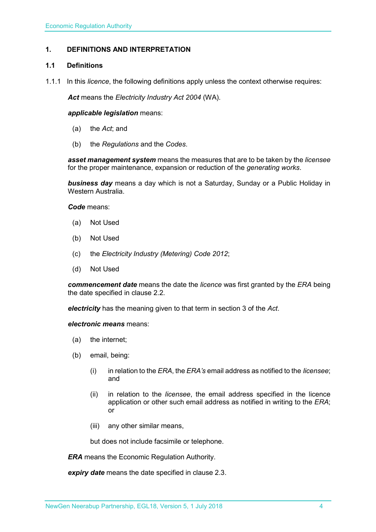#### <span id="page-3-0"></span>**1. DEFINITIONS AND INTERPRETATION**

#### <span id="page-3-1"></span>**1.1 Definitions**

1.1.1 In this *licence*, the following definitions apply unless the context otherwise requires:

*Act* means the *Electricity Industry Act 2004* (WA).

#### *applicable legislation* means:

- (a) the *Act*; and
- (b) the *Regulations* and the *Codes*.

*asset management system* means the measures that are to be taken by the *licensee* for the proper maintenance, expansion or reduction of the *generating works*.

*business day* means a day which is not a Saturday, Sunday or a Public Holiday in Western Australia.

*Code* means:

- (a) Not Used
- (b) Not Used
- (c) the *Electricity Industry (Metering) Code 2012*;
- (d) Not Used

*commencement date* means the date the *licence* was first granted by the *ERA* being the date specified in clause 2.2.

*electricity* has the meaning given to that term in section 3 of the *Act*.

*electronic means* means:

- (a) the internet;
- (b) email, being:
	- (i) in relation to the *ERA*, the *ERA's* email address as notified to the *licensee*; and
	- (ii) in relation to the *licensee*, the email address specified in the licence application or other such email address as notified in writing to the *ERA*; or
	- (iii) any other similar means,

but does not include facsimile or telephone.

*ERA* means the Economic Regulation Authority.

*expiry date* means the date specified in clause 2.3.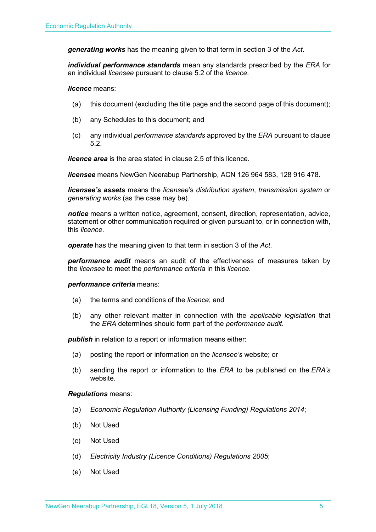*generating works* has the meaning given to that term in section 3 of the *Act.*

*individual performance standards* mean any standards prescribed by the *ERA* for an individual *licensee* pursuant to clause 5.2 of the *licence*.

*licence* means:

- (a) this document (excluding the title page and the second page of this document);
- (b) any Schedules to this document; and
- (c) any individual *performance standards* approved by the *ERA* pursuant to clause 5.2.

*licence area* is the area stated in clause 2.5 of this licence.

*licensee* means NewGen Neerabup Partnership, ACN 126 964 583, 128 916 478.

*licensee's assets* means the *licensee*'s *distribution system*, *transmission system* or *generating works* (as the case may be).

*notice* means a written notice, agreement, consent, direction, representation, advice, statement or other communication required or given pursuant to, or in connection with, this *licence*.

*operate* has the meaning given to that term in section 3 of the *Act*.

*performance audit* means an audit of the effectiveness of measures taken by the *licensee* to meet the *performance criteria* in this *licence*.

#### *performance criteria* means:

- (a) the terms and conditions of the *licence*; and
- (b) any other relevant matter in connection with the *applicable legislation* that the *ERA* determines should form part of the *performance audit*.

**publish** in relation to a report or information means either:

- (a) posting the report or information on the *licensee's* website; or
- (b) sending the report or information to the *ERA* to be published on the *ERA's* website.

#### *Regulations* means:

- (a) *Economic Regulation Authority (Licensing Funding) Regulations 2014*;
- (b) Not Used
- (c) Not Used
- (d) *Electricity Industry (Licence Conditions) Regulations 2005*;
- (e) Not Used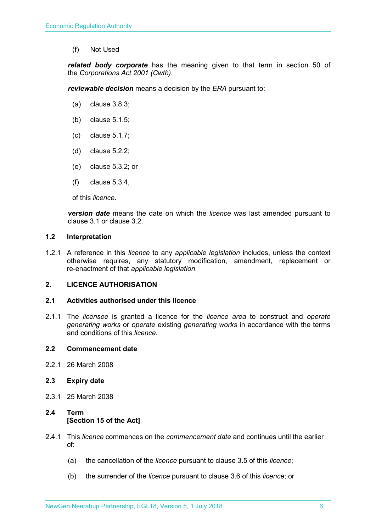(f) Not Used

*related body corporate* has the meaning given to that term in section 50 of the *Corporations Act 2001 (Cwth)*.

*reviewable decision* means a decision by the *ERA* pursuant to:

- (a) clause 3.8.3;
- (b) clause 5.1.5;
- (c) clause 5.1.7;
- (d) clause 5.2.2;
- (e) clause 5.3.2; or
- (f) clause 5.3.4,

of this *licence*.

*version date* means the date on which the *licence* was last amended pursuant to clause 3.1 or clause 3.2.

#### <span id="page-5-0"></span>**1.2 Interpretation**

1.2.1 A reference in this *licence* to any *applicable legislation* includes, unless the context otherwise requires, any statutory modification, amendment, replacement or re-enactment of that *applicable legislation*.

#### <span id="page-5-1"></span>**2. LICENCE AUTHORISATION**

#### <span id="page-5-2"></span>**2.1 Activities authorised under this licence**

2.1.1 The *licensee* is granted a licence for the *licence area* to construct and *operate generating works* or *operate* existing *generating works* in accordance with the terms and conditions of this *licence*.

#### <span id="page-5-3"></span>**2.2 Commencement date**

2.2.1 26 March 2008

#### <span id="page-5-4"></span>**2.3 Expiry date**

2.3.1 25 March 2038

#### <span id="page-5-5"></span>**2.4 Term [Section 15 of the Act]**

- 2.4.1 This *licence* commences on the *commencement date* and continues until the earlier of:
	- (a) the cancellation of the *licence* pursuant to clause 3.5 of this *licence*;
	- (b) the surrender of the *licence* pursuant to clause 3.6 of this *licence*; or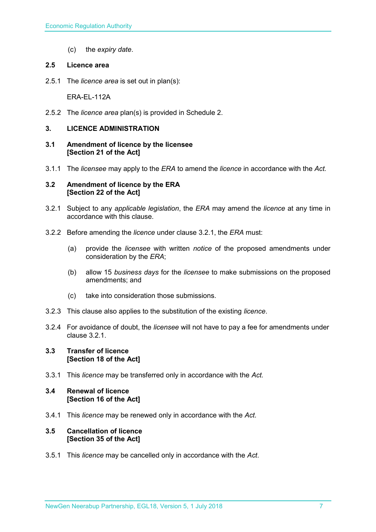(c) the *expiry date*.

#### <span id="page-6-0"></span>**2.5 Licence area**

2.5.1 The *licence area* is set out in plan(s):

ERA-EL-112A

2.5.2 The *licence area* plan(s) is provided in Schedule 2.

#### <span id="page-6-1"></span>**3. LICENCE ADMINISTRATION**

- <span id="page-6-2"></span>**3.1 Amendment of licence by the licensee [Section 21 of the Act]**
- 3.1.1 The *licensee* may apply to the *ERA* to amend the *licence* in accordance with the *Act.*

#### <span id="page-6-3"></span>**3.2 Amendment of licence by the ERA [Section 22 of the Act]**

- 3.2.1 Subject to any *applicable legislation*, the *ERA* may amend the *licence* at any time in accordance with this clause.
- 3.2.2 Before amending the *licence* under clause 3.2.1, the *ERA* must:
	- (a) provide the *licensee* with written *notice* of the proposed amendments under consideration by the *ERA*;
	- (b) allow 15 *business days* for the *licensee* to make submissions on the proposed amendments; and
	- (c) take into consideration those submissions.
- 3.2.3 This clause also applies to the substitution of the existing *licence*.
- 3.2.4 For avoidance of doubt, the *licensee* will not have to pay a fee for amendments under clause 3.2.1.

#### <span id="page-6-4"></span>**3.3 Transfer of licence [Section 18 of the Act]**

3.3.1 This *licence* may be transferred only in accordance with the *Act.*

#### <span id="page-6-5"></span>**3.4 Renewal of licence [Section 16 of the Act]**

3.4.1 This *licence* may be renewed only in accordance with the *Act*.

#### <span id="page-6-6"></span>**3.5 Cancellation of licence [Section 35 of the Act]**

3.5.1 This *licence* may be cancelled only in accordance with the *Act*.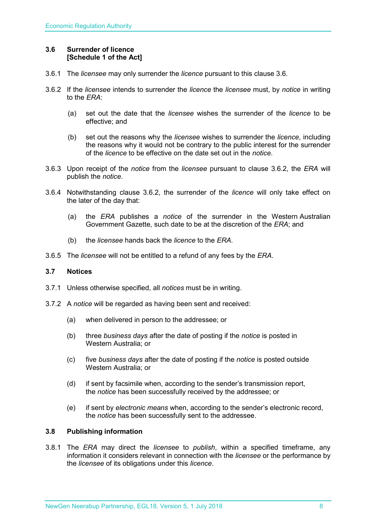#### <span id="page-7-0"></span>**3.6 Surrender of licence [Schedule 1 of the Act]**

- 3.6.1 The *licensee* may only surrender the *licence* pursuant to this clause 3.6.
- 3.6.2 If the *licensee* intends to surrender the *licence* the *licensee* must, by *notice* in writing to the *ERA*:
	- (a) set out the date that the *licensee* wishes the surrender of the *licence* to be effective; and
	- (b) set out the reasons why the *licensee* wishes to surrender the *licence*, including the reasons why it would not be contrary to the public interest for the surrender of the *licence* to be effective on the date set out in the *notice*.
- 3.6.3 Upon receipt of the *notice* from the *licensee* pursuant to clause 3.6.2, the *ERA* will publish the *notice*.
- 3.6.4 Notwithstanding clause 3.6.2, the surrender of the *licence* will only take effect on the later of the day that:
	- (a) the *ERA* publishes a *notice* of the surrender in the Western Australian Government Gazette, such date to be at the discretion of the *ERA*; and
	- (b) the *licensee* hands back the *licence* to the *ERA*.
- 3.6.5 The *licensee* will not be entitled to a refund of any fees by the *ERA*.

#### <span id="page-7-1"></span>**3.7 Notices**

- 3.7.1 Unless otherwise specified, all *notices* must be in writing.
- 3.7.2 A *notice* will be regarded as having been sent and received:
	- (a) when delivered in person to the addressee; or
	- (b) three *business days* after the date of posting if the *notice* is posted in Western Australia; or
	- (c) five *business days* after the date of posting if the *notice* is posted outside Western Australia; or
	- (d) if sent by facsimile when, according to the sender's transmission report, the *notice* has been successfully received by the addressee; or
	- (e) if sent by *electronic means* when, according to the sender's electronic record, the *notice* has been successfully sent to the addressee.

#### <span id="page-7-2"></span>**3.8 Publishing information**

3.8.1 The *ERA* may direct the *licensee* to *publish*, within a specified timeframe, any information it considers relevant in connection with the *licensee* or the performance by the *licensee* of its obligations under this *licence*.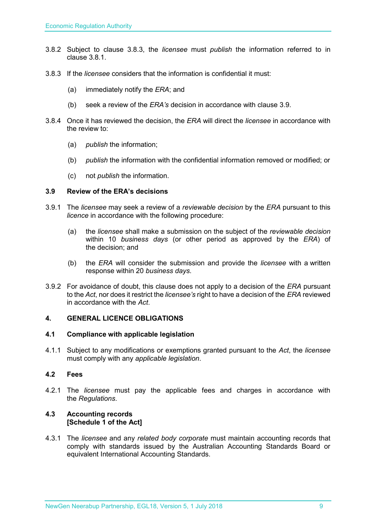- 3.8.2 Subject to clause 3.8.3, the *licensee* must *publish* the information referred to in clause 3.8.1.
- 3.8.3 If the *licensee* considers that the information is confidential it must:
	- (a) immediately notify the *ERA*; and
	- (b) seek a review of the *ERA's* decision in accordance with clause 3.9.
- 3.8.4 Once it has reviewed the decision, the *ERA* will direct the *licensee* in accordance with the review to:
	- (a) *publish* the information;
	- (b) *publish* the information with the confidential information removed or modified; or
	- (c) not *publish* the information.

#### <span id="page-8-0"></span>**3.9 Review of the ERA's decisions**

- 3.9.1 The *licensee* may seek a review of a *reviewable decision* by the *ERA* pursuant to this *licence* in accordance with the following procedure:
	- (a) the *licensee* shall make a submission on the subject of the *reviewable decision* within 10 *business days* (or other period as approved by the *ERA*) of the decision; and
	- (b) the *ERA* will consider the submission and provide the *licensee* with a written response within 20 *business days*.
- 3.9.2 For avoidance of doubt, this clause does not apply to a decision of the *ERA* pursuant to the *Act*, nor does it restrict the *licensee's* right to have a decision of the *ERA* reviewed in accordance with the *Act*.

#### <span id="page-8-1"></span>**4. GENERAL LICENCE OBLIGATIONS**

#### <span id="page-8-2"></span>**4.1 Compliance with applicable legislation**

4.1.1 Subject to any modifications or exemptions granted pursuant to the *Act*, the *licensee* must comply with any *applicable legislation*.

#### <span id="page-8-3"></span>**4.2 Fees**

4.2.1 The *licensee* must pay the applicable fees and charges in accordance with the *Regulations*.

#### <span id="page-8-4"></span>**4.3 Accounting records [Schedule 1 of the Act]**

4.3.1 The *licensee* and any *related body corporate* must maintain accounting records that comply with standards issued by the Australian Accounting Standards Board or equivalent International Accounting Standards.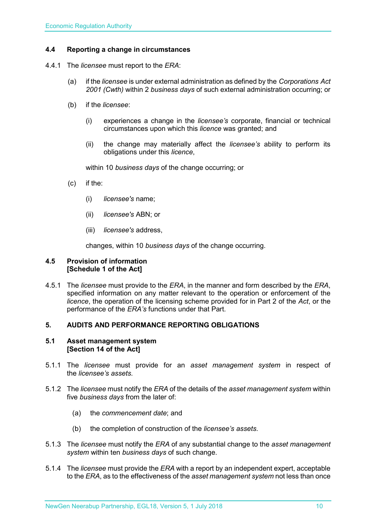#### <span id="page-9-0"></span>**4.4 Reporting a change in circumstances**

- 4.4.1 The *licensee* must report to the *ERA*:
	- (a) if the *licensee* is under external administration as defined by the *Corporations Act 2001 (Cwth)* within 2 *business days* of such external administration occurring; or
	- (b) if the *licensee*:
		- (i) experiences a change in the *licensee's* corporate, financial or technical circumstances upon which this *licence* was granted; and
		- (ii) the change may materially affect the *licensee's* ability to perform its obligations under this *licence*,

within 10 *business days* of the change occurring; or

- (c) if the:
	- (i) *licensee's* name;
	- (ii) *licensee's* ABN; or
	- (iii) *licensee's* address,

changes, within 10 *business days* of the change occurring.

#### <span id="page-9-1"></span>**4.5 Provision of information [Schedule 1 of the Act]**

4.5.1 The *licensee* must provide to the *ERA*, in the manner and form described by the *ERA*, specified information on any matter relevant to the operation or enforcement of the *licence*, the operation of the licensing scheme provided for in Part 2 of the *Act*, or the performance of the *ERA's* functions under that Part.

#### <span id="page-9-2"></span>**5. AUDITS AND PERFORMANCE REPORTING OBLIGATIONS**

#### <span id="page-9-3"></span>**5.1 Asset management system [Section 14 of the Act]**

- 5.1.1 The *licensee* must provide for an *asset management system* in respect of the *licensee's assets*.
- 5.1.2 The *licensee* must notify the *ERA* of the details of the *asset management system* within five *business days* from the later of:
	- (a) the *commencement date*; and
	- (b) the completion of construction of the *licensee's assets*.
- 5.1.3 The *licensee* must notify the *ERA* of any substantial change to the *asset management system* within ten *business days* of such change.
- 5.1.4 The *licensee* must provide the *ERA* with a report by an independent expert, acceptable to the *ERA*, as to the effectiveness of the *asset management system* not less than once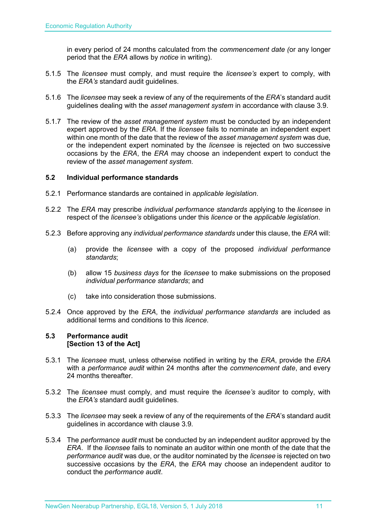in every period of 24 months calculated from the *commencement date (*or any longer period that the *ERA* allows by *notice* in writing).

- 5.1.5 The *licensee* must comply, and must require the *licensee's* expert to comply, with the *ERA's* standard audit guidelines.
- 5.1.6 The *licensee* may seek a review of any of the requirements of the *ERA*'s standard audit guidelines dealing with the *asset management system* in accordance with clause 3.9.
- 5.1.7 The review of the *asset management system* must be conducted by an independent expert approved by the *ERA*. If the *licensee* fails to nominate an independent expert within one month of the date that the review of the *asset management system* was due, or the independent expert nominated by the *licensee* is rejected on two successive occasions by the *ERA*, the *ERA* may choose an independent expert to conduct the review of the *asset management system*.

#### <span id="page-10-0"></span>**5.2 Individual performance standards**

- 5.2.1 Performance standards are contained in *applicable legislation*.
- 5.2.2 The *ERA* may prescribe *individual performance standards* applying to the *licensee* in respect of the *licensee's* obligations under this *licence* or the *applicable legislation*.
- 5.2.3 Before approving any *individual performance standards* under this clause, the *ERA* will:
	- (a) provide the *licensee* with a copy of the proposed *individual performance standards*;
	- (b) allow 15 *business days* for the *licensee* to make submissions on the proposed *individual performance standards*; and
	- (c) take into consideration those submissions.
- 5.2.4 Once approved by the *ERA*, the *individual performance standards* are included as additional terms and conditions to this *licence*.

#### <span id="page-10-1"></span>**5.3 Performance audit [Section 13 of the Act]**

- 5.3.1 The *licensee* must, unless otherwise notified in writing by the *ERA*, provide the *ERA* with a *performance audit* within 24 months after the *commencement date*, and every 24 months thereafter.
- 5.3.2 The *licensee* must comply, and must require the *licensee's* auditor to comply, with the *ERA's* standard audit guidelines.
- 5.3.3 The *licensee* may seek a review of any of the requirements of the *ERA*'s standard audit guidelines in accordance with clause 3.9.
- 5.3.4 The *performance audit* must be conducted by an independent auditor approved by the *ERA*. If the *licensee* fails to nominate an auditor within one month of the date that the *performance audit* was due, or the auditor nominated by the *licensee* is rejected on two successive occasions by the *ERA*, the *ERA* may choose an independent auditor to conduct the *performance audit*.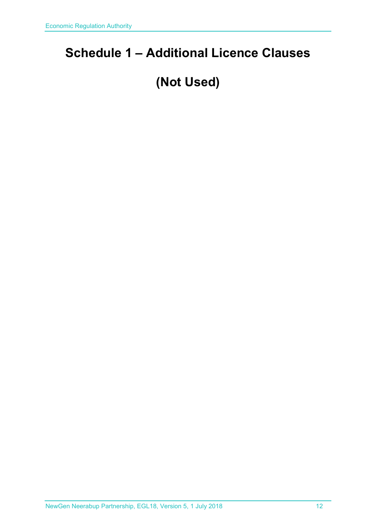### <span id="page-11-0"></span>**Schedule 1 – Additional Licence Clauses**

## **(Not Used)**

NewGen Neerabup Partnership, EGL18, Version 5, 1 July 2018 12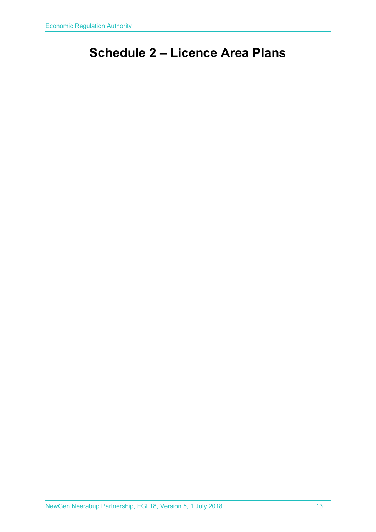### <span id="page-12-0"></span>**Schedule 2 – Licence Area Plans**